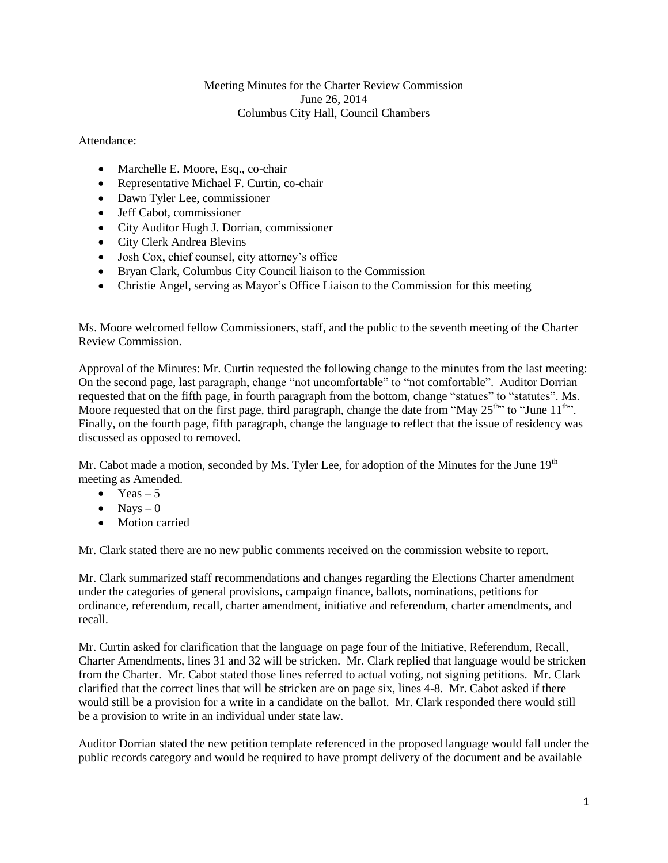## Meeting Minutes for the Charter Review Commission June 26, 2014 Columbus City Hall, Council Chambers

## Attendance:

- Marchelle E. Moore, Esq., co-chair
- Representative Michael F. Curtin, co-chair
- Dawn Tyler Lee, commissioner
- Jeff Cabot, commissioner
- City Auditor Hugh J. Dorrian, commissioner
- City Clerk Andrea Blevins
- Josh Cox, chief counsel, city attorney's office
- Bryan Clark, Columbus City Council liaison to the Commission
- Christie Angel, serving as Mayor's Office Liaison to the Commission for this meeting

Ms. Moore welcomed fellow Commissioners, staff, and the public to the seventh meeting of the Charter Review Commission.

Approval of the Minutes: Mr. Curtin requested the following change to the minutes from the last meeting: On the second page, last paragraph, change "not uncomfortable" to "not comfortable". Auditor Dorrian requested that on the fifth page, in fourth paragraph from the bottom, change "statues" to "statutes". Ms. Moore requested that on the first page, third paragraph, change the date from "May  $25<sup>th</sup>$ " to "June  $11<sup>th</sup>$ ". Finally, on the fourth page, fifth paragraph, change the language to reflect that the issue of residency was discussed as opposed to removed.

Mr. Cabot made a motion, seconded by Ms. Tyler Lee, for adoption of the Minutes for the June  $19<sup>th</sup>$ meeting as Amended.

- $\bullet$  Yeas 5
- $\bullet$  Nays 0
- Motion carried

Mr. Clark stated there are no new public comments received on the commission website to report.

Mr. Clark summarized staff recommendations and changes regarding the Elections Charter amendment under the categories of general provisions, campaign finance, ballots, nominations, petitions for ordinance, referendum, recall, charter amendment, initiative and referendum, charter amendments, and recall.

Mr. Curtin asked for clarification that the language on page four of the Initiative, Referendum, Recall, Charter Amendments, lines 31 and 32 will be stricken. Mr. Clark replied that language would be stricken from the Charter. Mr. Cabot stated those lines referred to actual voting, not signing petitions. Mr. Clark clarified that the correct lines that will be stricken are on page six, lines 4-8. Mr. Cabot asked if there would still be a provision for a write in a candidate on the ballot. Mr. Clark responded there would still be a provision to write in an individual under state law.

Auditor Dorrian stated the new petition template referenced in the proposed language would fall under the public records category and would be required to have prompt delivery of the document and be available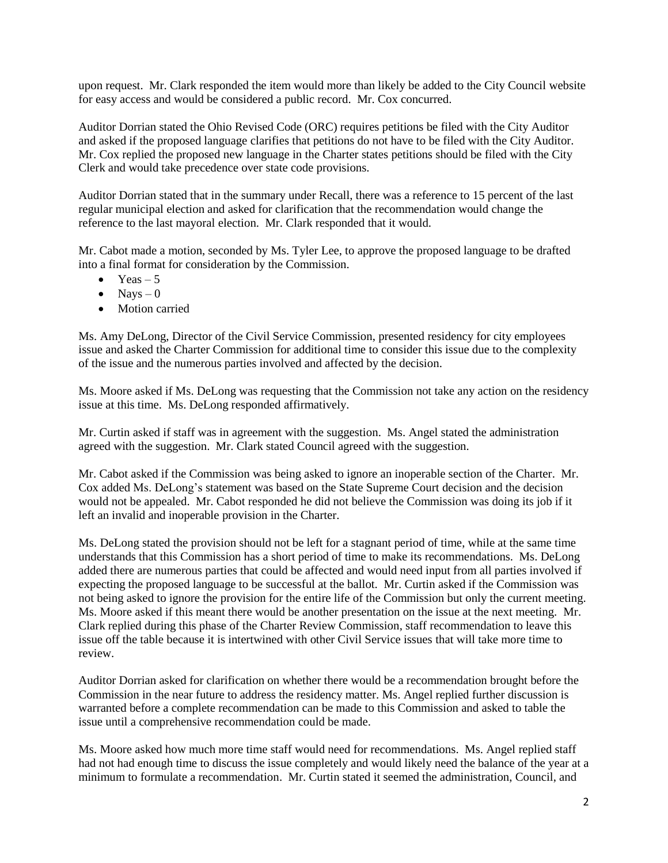upon request. Mr. Clark responded the item would more than likely be added to the City Council website for easy access and would be considered a public record. Mr. Cox concurred.

Auditor Dorrian stated the Ohio Revised Code (ORC) requires petitions be filed with the City Auditor and asked if the proposed language clarifies that petitions do not have to be filed with the City Auditor. Mr. Cox replied the proposed new language in the Charter states petitions should be filed with the City Clerk and would take precedence over state code provisions.

Auditor Dorrian stated that in the summary under Recall, there was a reference to 15 percent of the last regular municipal election and asked for clarification that the recommendation would change the reference to the last mayoral election. Mr. Clark responded that it would.

Mr. Cabot made a motion, seconded by Ms. Tyler Lee, to approve the proposed language to be drafted into a final format for consideration by the Commission.

- $\bullet$  Yeas 5
- $\bullet$  Navs 0
- Motion carried

Ms. Amy DeLong, Director of the Civil Service Commission, presented residency for city employees issue and asked the Charter Commission for additional time to consider this issue due to the complexity of the issue and the numerous parties involved and affected by the decision.

Ms. Moore asked if Ms. DeLong was requesting that the Commission not take any action on the residency issue at this time. Ms. DeLong responded affirmatively.

Mr. Curtin asked if staff was in agreement with the suggestion. Ms. Angel stated the administration agreed with the suggestion. Mr. Clark stated Council agreed with the suggestion.

Mr. Cabot asked if the Commission was being asked to ignore an inoperable section of the Charter. Mr. Cox added Ms. DeLong's statement was based on the State Supreme Court decision and the decision would not be appealed. Mr. Cabot responded he did not believe the Commission was doing its job if it left an invalid and inoperable provision in the Charter.

Ms. DeLong stated the provision should not be left for a stagnant period of time, while at the same time understands that this Commission has a short period of time to make its recommendations. Ms. DeLong added there are numerous parties that could be affected and would need input from all parties involved if expecting the proposed language to be successful at the ballot. Mr. Curtin asked if the Commission was not being asked to ignore the provision for the entire life of the Commission but only the current meeting. Ms. Moore asked if this meant there would be another presentation on the issue at the next meeting. Mr. Clark replied during this phase of the Charter Review Commission, staff recommendation to leave this issue off the table because it is intertwined with other Civil Service issues that will take more time to review.

Auditor Dorrian asked for clarification on whether there would be a recommendation brought before the Commission in the near future to address the residency matter. Ms. Angel replied further discussion is warranted before a complete recommendation can be made to this Commission and asked to table the issue until a comprehensive recommendation could be made.

Ms. Moore asked how much more time staff would need for recommendations. Ms. Angel replied staff had not had enough time to discuss the issue completely and would likely need the balance of the year at a minimum to formulate a recommendation. Mr. Curtin stated it seemed the administration, Council, and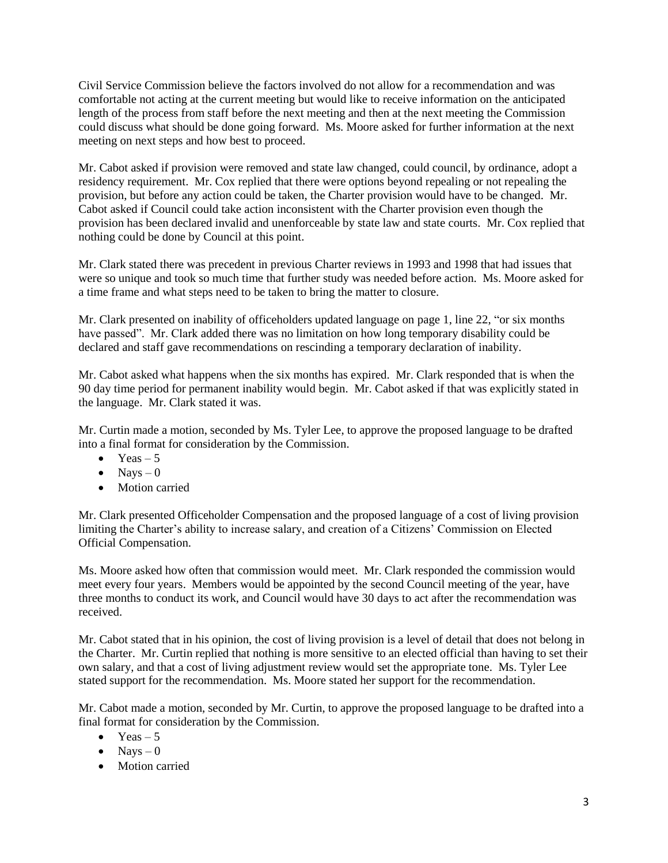Civil Service Commission believe the factors involved do not allow for a recommendation and was comfortable not acting at the current meeting but would like to receive information on the anticipated length of the process from staff before the next meeting and then at the next meeting the Commission could discuss what should be done going forward. Ms. Moore asked for further information at the next meeting on next steps and how best to proceed.

Mr. Cabot asked if provision were removed and state law changed, could council, by ordinance, adopt a residency requirement. Mr. Cox replied that there were options beyond repealing or not repealing the provision, but before any action could be taken, the Charter provision would have to be changed. Mr. Cabot asked if Council could take action inconsistent with the Charter provision even though the provision has been declared invalid and unenforceable by state law and state courts. Mr. Cox replied that nothing could be done by Council at this point.

Mr. Clark stated there was precedent in previous Charter reviews in 1993 and 1998 that had issues that were so unique and took so much time that further study was needed before action. Ms. Moore asked for a time frame and what steps need to be taken to bring the matter to closure.

Mr. Clark presented on inability of officeholders updated language on page 1, line 22, "or six months have passed". Mr. Clark added there was no limitation on how long temporary disability could be declared and staff gave recommendations on rescinding a temporary declaration of inability.

Mr. Cabot asked what happens when the six months has expired. Mr. Clark responded that is when the 90 day time period for permanent inability would begin. Mr. Cabot asked if that was explicitly stated in the language. Mr. Clark stated it was.

Mr. Curtin made a motion, seconded by Ms. Tyler Lee, to approve the proposed language to be drafted into a final format for consideration by the Commission.

- $\bullet$  Yeas 5
- $\bullet$  Nays 0
- Motion carried

Mr. Clark presented Officeholder Compensation and the proposed language of a cost of living provision limiting the Charter's ability to increase salary, and creation of a Citizens' Commission on Elected Official Compensation.

Ms. Moore asked how often that commission would meet. Mr. Clark responded the commission would meet every four years. Members would be appointed by the second Council meeting of the year, have three months to conduct its work, and Council would have 30 days to act after the recommendation was received.

Mr. Cabot stated that in his opinion, the cost of living provision is a level of detail that does not belong in the Charter. Mr. Curtin replied that nothing is more sensitive to an elected official than having to set their own salary, and that a cost of living adjustment review would set the appropriate tone. Ms. Tyler Lee stated support for the recommendation. Ms. Moore stated her support for the recommendation.

Mr. Cabot made a motion, seconded by Mr. Curtin, to approve the proposed language to be drafted into a final format for consideration by the Commission.

- $\bullet$  Yeas 5
- $\bullet$  Navs 0
- Motion carried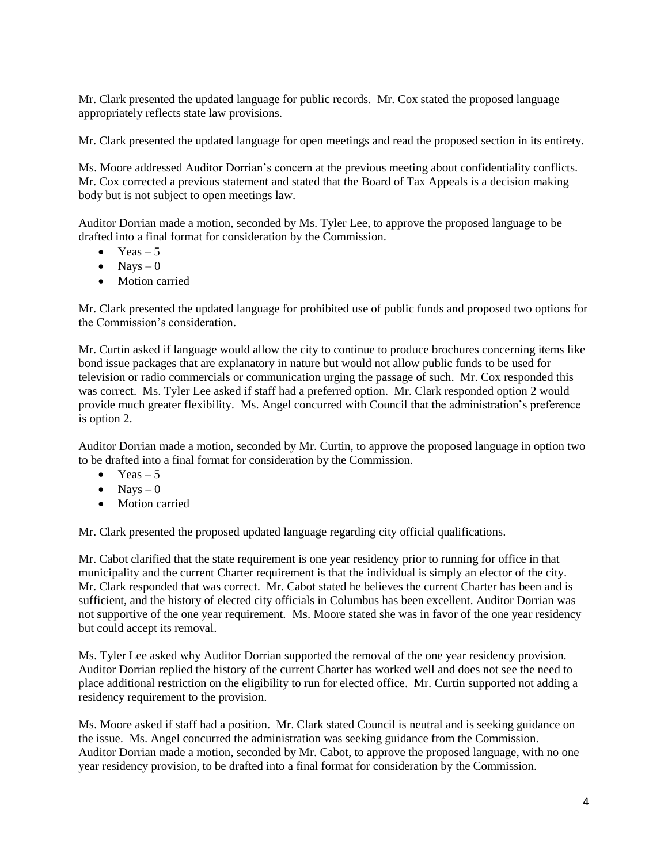Mr. Clark presented the updated language for public records. Mr. Cox stated the proposed language appropriately reflects state law provisions.

Mr. Clark presented the updated language for open meetings and read the proposed section in its entirety.

Ms. Moore addressed Auditor Dorrian's concern at the previous meeting about confidentiality conflicts. Mr. Cox corrected a previous statement and stated that the Board of Tax Appeals is a decision making body but is not subject to open meetings law.

Auditor Dorrian made a motion, seconded by Ms. Tyler Lee, to approve the proposed language to be drafted into a final format for consideration by the Commission.

- $\bullet$  Yeas 5
- $\bullet$  Nays 0
- Motion carried

Mr. Clark presented the updated language for prohibited use of public funds and proposed two options for the Commission's consideration.

Mr. Curtin asked if language would allow the city to continue to produce brochures concerning items like bond issue packages that are explanatory in nature but would not allow public funds to be used for television or radio commercials or communication urging the passage of such. Mr. Cox responded this was correct. Ms. Tyler Lee asked if staff had a preferred option. Mr. Clark responded option 2 would provide much greater flexibility. Ms. Angel concurred with Council that the administration's preference is option 2.

Auditor Dorrian made a motion, seconded by Mr. Curtin, to approve the proposed language in option two to be drafted into a final format for consideration by the Commission.

- Yeas  $-5$
- $\bullet$  Nays 0
- Motion carried

Mr. Clark presented the proposed updated language regarding city official qualifications.

Mr. Cabot clarified that the state requirement is one year residency prior to running for office in that municipality and the current Charter requirement is that the individual is simply an elector of the city. Mr. Clark responded that was correct. Mr. Cabot stated he believes the current Charter has been and is sufficient, and the history of elected city officials in Columbus has been excellent. Auditor Dorrian was not supportive of the one year requirement. Ms. Moore stated she was in favor of the one year residency but could accept its removal.

Ms. Tyler Lee asked why Auditor Dorrian supported the removal of the one year residency provision. Auditor Dorrian replied the history of the current Charter has worked well and does not see the need to place additional restriction on the eligibility to run for elected office. Mr. Curtin supported not adding a residency requirement to the provision.

Ms. Moore asked if staff had a position. Mr. Clark stated Council is neutral and is seeking guidance on the issue. Ms. Angel concurred the administration was seeking guidance from the Commission. Auditor Dorrian made a motion, seconded by Mr. Cabot, to approve the proposed language, with no one year residency provision, to be drafted into a final format for consideration by the Commission.